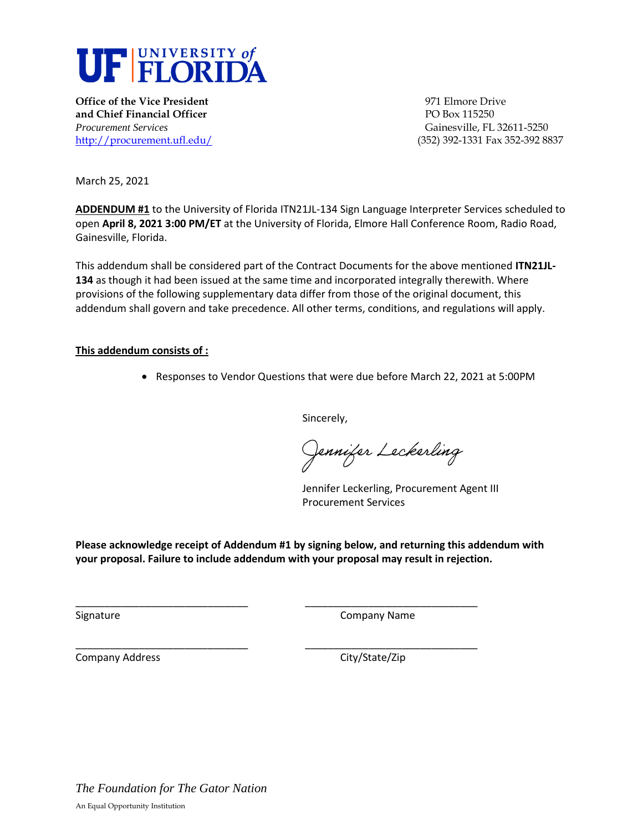

**Office of the Vice President 1971 Club Properties All 2003 1971 Elmore Drive and Chief Financial Officer PO Box 115250** *Procurement Services* Gainesville, FL 32611-5250

<http://procurement.ufl.edu/>(352) 392-1331 Fax 352-392 8837

March 25, 2021

**ADDENDUM #1** to the University of Florida ITN21JL-134 Sign Language Interpreter Services scheduled to open **April 8, 2021 3:00 PM/ET** at the University of Florida, Elmore Hall Conference Room, Radio Road, Gainesville, Florida.

This addendum shall be considered part of the Contract Documents for the above mentioned **ITN21JL-134** as though it had been issued at the same time and incorporated integrally therewith. Where provisions of the following supplementary data differ from those of the original document, this addendum shall govern and take precedence. All other terms, conditions, and regulations will apply.

## **This addendum consists of :**

• Responses to Vendor Questions that were due before March 22, 2021 at 5:00PM

Sincerely,

Jennifer Lec*k*erling

Jennifer Leckerling, Procurement Agent III Procurement Services

**Please acknowledge receipt of Addendum #1 by signing below, and returning this addendum with your proposal. Failure to include addendum with your proposal may result in rejection.** 

\_\_\_\_\_\_\_\_\_\_\_\_\_\_\_\_\_\_\_\_\_\_\_\_\_\_\_\_\_\_ \_\_\_\_\_\_\_\_\_\_\_\_\_\_\_\_\_\_\_\_\_\_\_\_\_\_\_\_\_\_

\_\_\_\_\_\_\_\_\_\_\_\_\_\_\_\_\_\_\_\_\_\_\_\_\_\_\_\_\_\_ \_\_\_\_\_\_\_\_\_\_\_\_\_\_\_\_\_\_\_\_\_\_\_\_\_\_\_\_\_\_

Signature **Company Name** 

Company Address Company Address City/State/Zip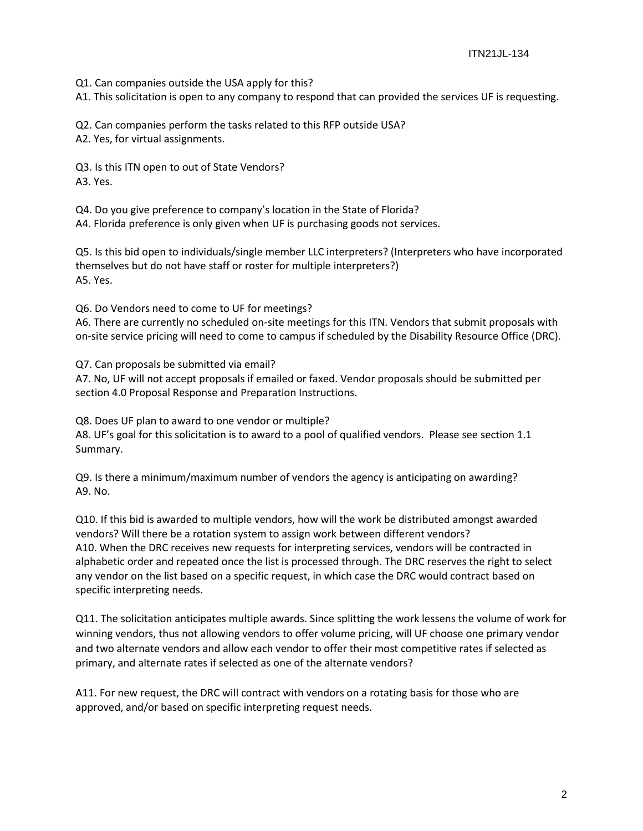Q1. Can companies outside the USA apply for this?

A1. This solicitation is open to any company to respond that can provided the services UF is requesting.

Q2. Can companies perform the tasks related to this RFP outside USA?

A2. Yes, for virtual assignments.

Q3. Is this ITN open to out of State Vendors? A3. Yes.

Q4. Do you give preference to company's location in the State of Florida?

A4. Florida preference is only given when UF is purchasing goods not services.

Q5. Is this bid open to individuals/single member LLC interpreters? (Interpreters who have incorporated themselves but do not have staff or roster for multiple interpreters?) A5. Yes.

Q6. Do Vendors need to come to UF for meetings?

A6. There are currently no scheduled on-site meetings for this ITN. Vendors that submit proposals with on-site service pricing will need to come to campus if scheduled by the Disability Resource Office (DRC).

Q7. Can proposals be submitted via email?

A7. No, UF will not accept proposals if emailed or faxed. Vendor proposals should be submitted per section 4.0 Proposal Response and Preparation Instructions.

Q8. Does UF plan to award to one vendor or multiple? A8. UF's goal for this solicitation is to award to a pool of qualified vendors. Please see section 1.1 Summary.

Q9. Is there a minimum/maximum number of vendors the agency is anticipating on awarding? A9. No.

Q10. If this bid is awarded to multiple vendors, how will the work be distributed amongst awarded vendors? Will there be a rotation system to assign work between different vendors? A10. When the DRC receives new requests for interpreting services, vendors will be contracted in alphabetic order and repeated once the list is processed through. The DRC reserves the right to select any vendor on the list based on a specific request, in which case the DRC would contract based on specific interpreting needs.

Q11. The solicitation anticipates multiple awards. Since splitting the work lessens the volume of work for winning vendors, thus not allowing vendors to offer volume pricing, will UF choose one primary vendor and two alternate vendors and allow each vendor to offer their most competitive rates if selected as primary, and alternate rates if selected as one of the alternate vendors?

A11. For new request, the DRC will contract with vendors on a rotating basis for those who are approved, and/or based on specific interpreting request needs.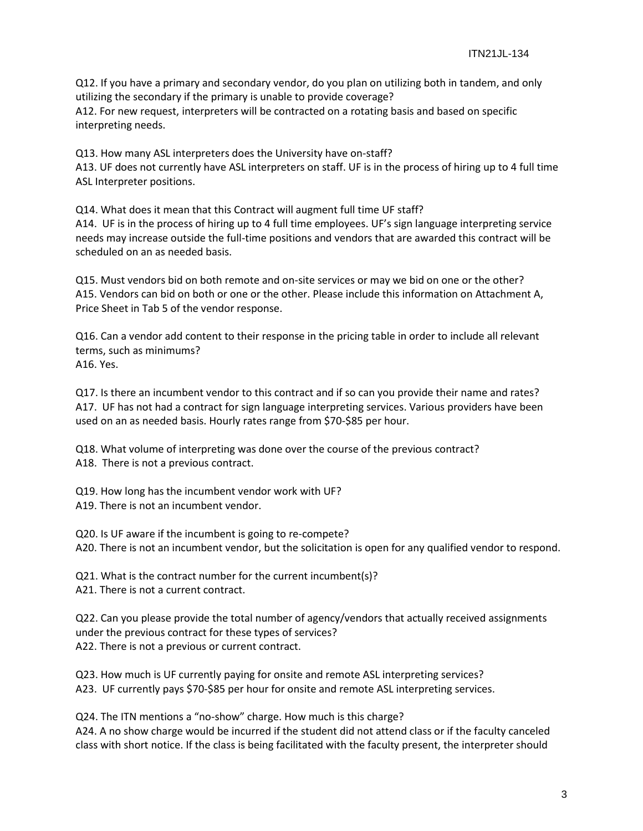Q12. If you have a primary and secondary vendor, do you plan on utilizing both in tandem, and only utilizing the secondary if the primary is unable to provide coverage? A12. For new request, interpreters will be contracted on a rotating basis and based on specific interpreting needs.

Q13. How many ASL interpreters does the University have on-staff? A13. UF does not currently have ASL interpreters on staff. UF is in the process of hiring up to 4 full time ASL Interpreter positions.

Q14. What does it mean that this Contract will augment full time UF staff? A14. UF is in the process of hiring up to 4 full time employees. UF's sign language interpreting service needs may increase outside the full-time positions and vendors that are awarded this contract will be scheduled on an as needed basis.

Q15. Must vendors bid on both remote and on-site services or may we bid on one or the other? A15. Vendors can bid on both or one or the other. Please include this information on Attachment A, Price Sheet in Tab 5 of the vendor response.

Q16. Can a vendor add content to their response in the pricing table in order to include all relevant terms, such as minimums? A16. Yes.

Q17. Is there an incumbent vendor to this contract and if so can you provide their name and rates? A17. UF has not had a contract for sign language interpreting services. Various providers have been used on an as needed basis. Hourly rates range from \$70-\$85 per hour.

Q18. What volume of interpreting was done over the course of the previous contract? A18. There is not a previous contract.

Q19. How long has the incumbent vendor work with UF? A19. There is not an incumbent vendor.

Q20. Is UF aware if the incumbent is going to re-compete? A20. There is not an incumbent vendor, but the solicitation is open for any qualified vendor to respond.

Q21. What is the contract number for the current incumbent(s)? A21. There is not a current contract.

Q22. Can you please provide the total number of agency/vendors that actually received assignments under the previous contract for these types of services? A22. There is not a previous or current contract.

Q23. How much is UF currently paying for onsite and remote ASL interpreting services? A23. UF currently pays \$70-\$85 per hour for onsite and remote ASL interpreting services.

Q24. The ITN mentions a "no-show" charge. How much is this charge? A24. A no show charge would be incurred if the student did not attend class or if the faculty canceled class with short notice. If the class is being facilitated with the faculty present, the interpreter should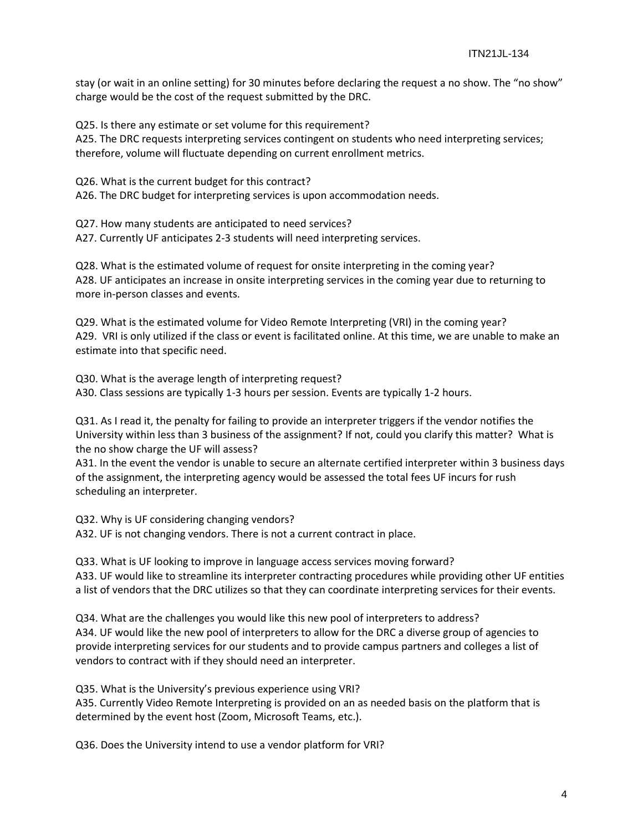stay (or wait in an online setting) for 30 minutes before declaring the request a no show. The "no show" charge would be the cost of the request submitted by the DRC.

Q25. Is there any estimate or set volume for this requirement? A25. The DRC requests interpreting services contingent on students who need interpreting services; therefore, volume will fluctuate depending on current enrollment metrics.

Q26. What is the current budget for this contract?

A26. The DRC budget for interpreting services is upon accommodation needs.

Q27. How many students are anticipated to need services?

A27. Currently UF anticipates 2-3 students will need interpreting services.

Q28. What is the estimated volume of request for onsite interpreting in the coming year? A28. UF anticipates an increase in onsite interpreting services in the coming year due to returning to more in-person classes and events.

Q29. What is the estimated volume for Video Remote Interpreting (VRI) in the coming year? A29. VRI is only utilized if the class or event is facilitated online. At this time, we are unable to make an estimate into that specific need.

Q30. What is the average length of interpreting request? A30. Class sessions are typically 1-3 hours per session. Events are typically 1-2 hours.

Q31. As I read it, the penalty for failing to provide an interpreter triggers if the vendor notifies the University within less than 3 business of the assignment? If not, could you clarify this matter? What is the no show charge the UF will assess?

A31. In the event the vendor is unable to secure an alternate certified interpreter within 3 business days of the assignment, the interpreting agency would be assessed the total fees UF incurs for rush scheduling an interpreter.

Q32. Why is UF considering changing vendors? A32. UF is not changing vendors. There is not a current contract in place.

Q33. What is UF looking to improve in language access services moving forward? A33. UF would like to streamline its interpreter contracting procedures while providing other UF entities a list of vendors that the DRC utilizes so that they can coordinate interpreting services for their events.

Q34. What are the challenges you would like this new pool of interpreters to address? A34. UF would like the new pool of interpreters to allow for the DRC a diverse group of agencies to provide interpreting services for our students and to provide campus partners and colleges a list of vendors to contract with if they should need an interpreter.

Q35. What is the University's previous experience using VRI?

A35. Currently Video Remote Interpreting is provided on an as needed basis on the platform that is determined by the event host (Zoom, Microsoft Teams, etc.).

Q36. Does the University intend to use a vendor platform for VRI?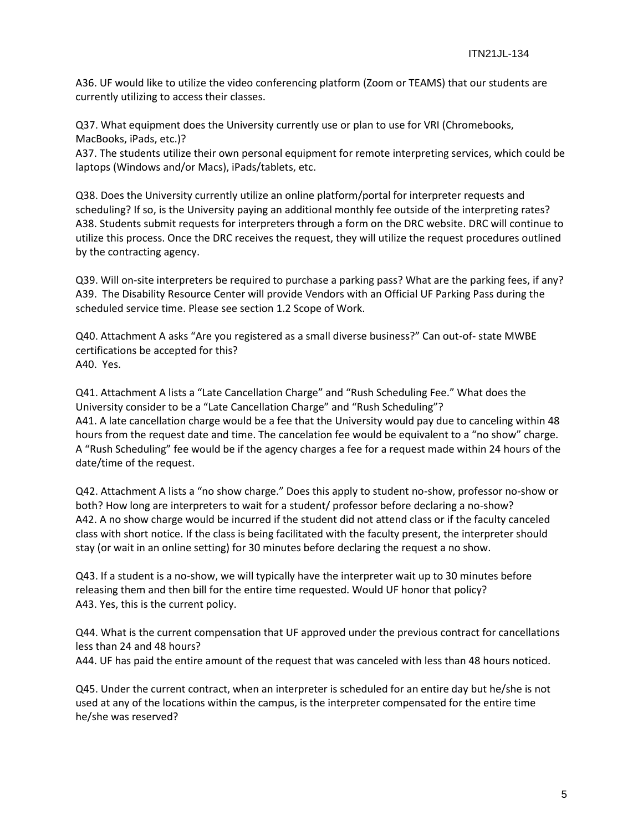A36. UF would like to utilize the video conferencing platform (Zoom or TEAMS) that our students are currently utilizing to access their classes.

Q37. What equipment does the University currently use or plan to use for VRI (Chromebooks, MacBooks, iPads, etc.)?

A37. The students utilize their own personal equipment for remote interpreting services, which could be laptops (Windows and/or Macs), iPads/tablets, etc.

Q38. Does the University currently utilize an online platform/portal for interpreter requests and scheduling? If so, is the University paying an additional monthly fee outside of the interpreting rates? A38. Students submit requests for interpreters through a form on the DRC website. DRC will continue to utilize this process. Once the DRC receives the request, they will utilize the request procedures outlined by the contracting agency.

Q39. Will on-site interpreters be required to purchase a parking pass? What are the parking fees, if any? A39. The Disability Resource Center will provide Vendors with an Official UF Parking Pass during the scheduled service time. Please see section 1.2 Scope of Work.

Q40. Attachment A asks "Are you registered as a small diverse business?" Can out-of- state MWBE certifications be accepted for this? A40. Yes.

Q41. Attachment A lists a "Late Cancellation Charge" and "Rush Scheduling Fee." What does the University consider to be a "Late Cancellation Charge" and "Rush Scheduling"? A41. A late cancellation charge would be a fee that the University would pay due to canceling within 48 hours from the request date and time. The cancelation fee would be equivalent to a "no show" charge. A "Rush Scheduling" fee would be if the agency charges a fee for a request made within 24 hours of the date/time of the request.

Q42. Attachment A lists a "no show charge." Does this apply to student no-show, professor no-show or both? How long are interpreters to wait for a student/ professor before declaring a no-show? A42. A no show charge would be incurred if the student did not attend class or if the faculty canceled class with short notice. If the class is being facilitated with the faculty present, the interpreter should stay (or wait in an online setting) for 30 minutes before declaring the request a no show.

Q43. If a student is a no-show, we will typically have the interpreter wait up to 30 minutes before releasing them and then bill for the entire time requested. Would UF honor that policy? A43. Yes, this is the current policy.

Q44. What is the current compensation that UF approved under the previous contract for cancellations less than 24 and 48 hours?

A44. UF has paid the entire amount of the request that was canceled with less than 48 hours noticed.

Q45. Under the current contract, when an interpreter is scheduled for an entire day but he/she is not used at any of the locations within the campus, is the interpreter compensated for the entire time he/she was reserved?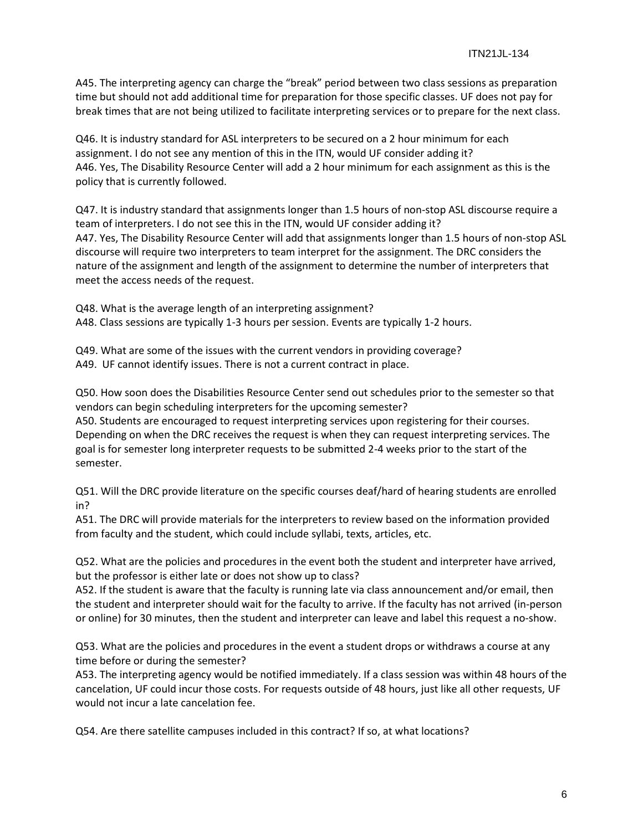A45. The interpreting agency can charge the "break" period between two class sessions as preparation time but should not add additional time for preparation for those specific classes. UF does not pay for break times that are not being utilized to facilitate interpreting services or to prepare for the next class.

Q46. It is industry standard for ASL interpreters to be secured on a 2 hour minimum for each assignment. I do not see any mention of this in the ITN, would UF consider adding it? A46. Yes, The Disability Resource Center will add a 2 hour minimum for each assignment as this is the policy that is currently followed.

Q47. It is industry standard that assignments longer than 1.5 hours of non-stop ASL discourse require a team of interpreters. I do not see this in the ITN, would UF consider adding it? A47. Yes, The Disability Resource Center will add that assignments longer than 1.5 hours of non-stop ASL discourse will require two interpreters to team interpret for the assignment. The DRC considers the nature of the assignment and length of the assignment to determine the number of interpreters that meet the access needs of the request.

Q48. What is the average length of an interpreting assignment? A48. Class sessions are typically 1-3 hours per session. Events are typically 1-2 hours.

Q49. What are some of the issues with the current vendors in providing coverage? A49. UF cannot identify issues. There is not a current contract in place.

Q50. How soon does the Disabilities Resource Center send out schedules prior to the semester so that vendors can begin scheduling interpreters for the upcoming semester?

A50. Students are encouraged to request interpreting services upon registering for their courses. Depending on when the DRC receives the request is when they can request interpreting services. The goal is for semester long interpreter requests to be submitted 2-4 weeks prior to the start of the semester.

Q51. Will the DRC provide literature on the specific courses deaf/hard of hearing students are enrolled in?

A51. The DRC will provide materials for the interpreters to review based on the information provided from faculty and the student, which could include syllabi, texts, articles, etc.

Q52. What are the policies and procedures in the event both the student and interpreter have arrived, but the professor is either late or does not show up to class?

A52. If the student is aware that the faculty is running late via class announcement and/or email, then the student and interpreter should wait for the faculty to arrive. If the faculty has not arrived (in-person or online) for 30 minutes, then the student and interpreter can leave and label this request a no-show.

Q53. What are the policies and procedures in the event a student drops or withdraws a course at any time before or during the semester?

A53. The interpreting agency would be notified immediately. If a class session was within 48 hours of the cancelation, UF could incur those costs. For requests outside of 48 hours, just like all other requests, UF would not incur a late cancelation fee.

Q54. Are there satellite campuses included in this contract? If so, at what locations?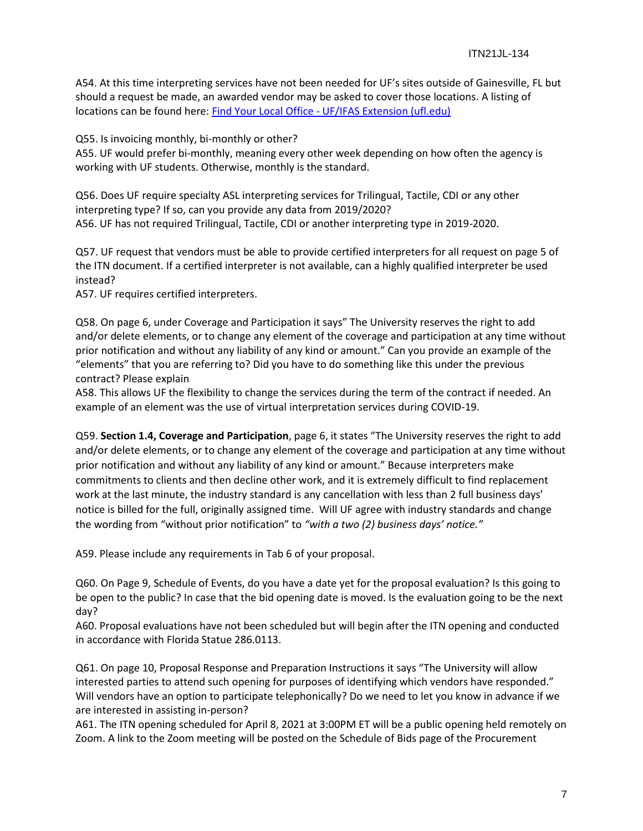A54. At this time interpreting services have not been needed for UF's sites outside of Gainesville, FL but should a request be made, an awarded vendor may be asked to cover those locations. A listing of locations can be found here: Find Your Local Office - [UF/IFAS Extension \(ufl.edu\)](https://sfyl.ifas.ufl.edu/find-your-local-office/)

Q55. Is invoicing monthly, bi-monthly or other?

A55. UF would prefer bi-monthly, meaning every other week depending on how often the agency is working with UF students. Otherwise, monthly is the standard.

Q56. Does UF require specialty ASL interpreting services for Trilingual, Tactile, CDI or any other interpreting type? If so, can you provide any data from 2019/2020? A56. UF has not required Trilingual, Tactile, CDI or another interpreting type in 2019-2020.

Q57. UF request that vendors must be able to provide certified interpreters for all request on page 5 of the ITN document. If a certified interpreter is not available, can a highly qualified interpreter be used instead?

A57. UF requires certified interpreters.

Q58. On page 6, under Coverage and Participation it says" The University reserves the right to add and/or delete elements, or to change any element of the coverage and participation at any time without prior notification and without any liability of any kind or amount." Can you provide an example of the "elements" that you are referring to? Did you have to do something like this under the previous contract? Please explain

A58. This allows UF the flexibility to change the services during the term of the contract if needed. An example of an element was the use of virtual interpretation services during COVID-19.

Q59. **Section 1.4, Coverage and Participation**, page 6, it states "The University reserves the right to add and/or delete elements, or to change any element of the coverage and participation at any time without prior notification and without any liability of any kind or amount." Because interpreters make commitments to clients and then decline other work, and it is extremely difficult to find replacement work at the last minute, the industry standard is any cancellation with less than 2 full business days' notice is billed for the full, originally assigned time. Will UF agree with industry standards and change the wording from "without prior notification" to *"with a two (2) business days' notice."*

A59. Please include any requirements in Tab 6 of your proposal.

Q60. On Page 9, Schedule of Events, do you have a date yet for the proposal evaluation? Is this going to be open to the public? In case that the bid opening date is moved. Is the evaluation going to be the next day?

A60. Proposal evaluations have not been scheduled but will begin after the ITN opening and conducted in accordance with Florida Statue 286.0113.

Q61. On page 10, Proposal Response and Preparation Instructions it says "The University will allow interested parties to attend such opening for purposes of identifying which vendors have responded." Will vendors have an option to participate telephonically? Do we need to let you know in advance if we are interested in assisting in-person?

A61. The ITN opening scheduled for April 8, 2021 at 3:00PM ET will be a public opening held remotely on Zoom. A link to the Zoom meeting will be posted on the Schedule of Bids page of the Procurement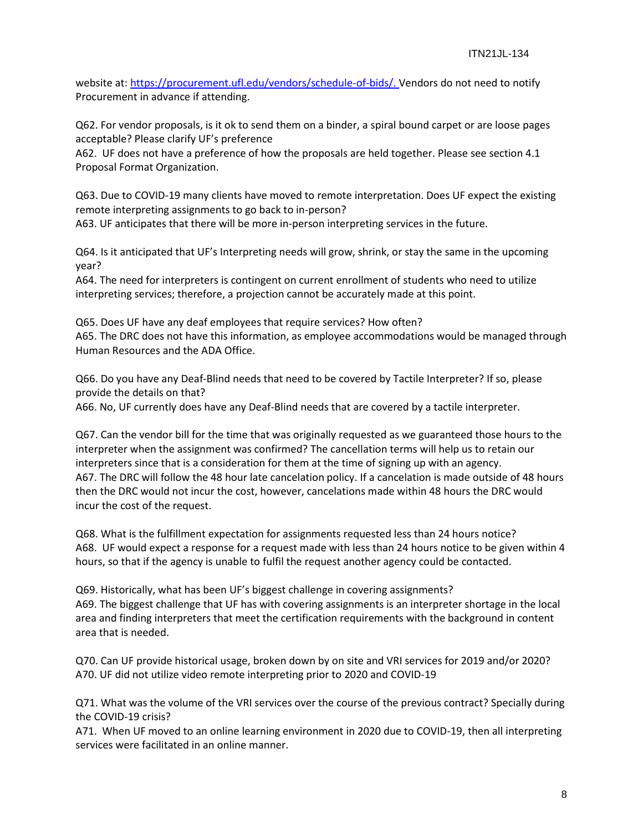website at: [https://procurement.ufl.edu/vendors/schedule-of-bids/.](https://procurement.ufl.edu/vendors/schedule-of-bids/) Vendors do not need to notify Procurement in advance if attending.

Q62. For vendor proposals, is it ok to send them on a binder, a spiral bound carpet or are loose pages acceptable? Please clarify UF's preference

A62. UF does not have a preference of how the proposals are held together. Please see section 4.1 Proposal Format Organization.

Q63. Due to COVID-19 many clients have moved to remote interpretation. Does UF expect the existing remote interpreting assignments to go back to in-person?

A63. UF anticipates that there will be more in-person interpreting services in the future.

Q64. Is it anticipated that UF's Interpreting needs will grow, shrink, or stay the same in the upcoming year?

A64. The need for interpreters is contingent on current enrollment of students who need to utilize interpreting services; therefore, a projection cannot be accurately made at this point.

Q65. Does UF have any deaf employees that require services? How often? A65. The DRC does not have this information, as employee accommodations would be managed through Human Resources and the ADA Office.

Q66. Do you have any Deaf-Blind needs that need to be covered by Tactile Interpreter? If so, please provide the details on that?

A66. No, UF currently does have any Deaf-Blind needs that are covered by a tactile interpreter.

Q67. Can the vendor bill for the time that was originally requested as we guaranteed those hours to the interpreter when the assignment was confirmed? The cancellation terms will help us to retain our interpreters since that is a consideration for them at the time of signing up with an agency. A67. The DRC will follow the 48 hour late cancelation policy. If a cancelation is made outside of 48 hours then the DRC would not incur the cost, however, cancelations made within 48 hours the DRC would incur the cost of the request.

Q68. What is the fulfillment expectation for assignments requested less than 24 hours notice? A68. UF would expect a response for a request made with less than 24 hours notice to be given within 4 hours, so that if the agency is unable to fulfil the request another agency could be contacted.

Q69. Historically, what has been UF's biggest challenge in covering assignments? A69. The biggest challenge that UF has with covering assignments is an interpreter shortage in the local area and finding interpreters that meet the certification requirements with the background in content area that is needed.

Q70. Can UF provide historical usage, broken down by on site and VRI services for 2019 and/or 2020? A70. UF did not utilize video remote interpreting prior to 2020 and COVID-19

Q71. What was the volume of the VRI services over the course of the previous contract? Specially during the COVID-19 crisis?

A71. When UF moved to an online learning environment in 2020 due to COVID-19, then all interpreting services were facilitated in an online manner.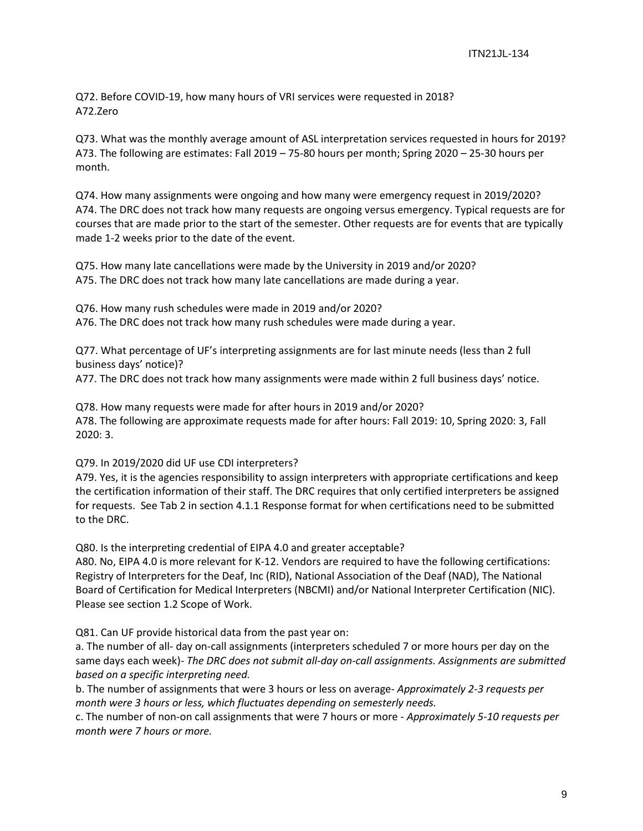Q72. Before COVID-19, how many hours of VRI services were requested in 2018? A72.Zero

Q73. What was the monthly average amount of ASL interpretation services requested in hours for 2019? A73. The following are estimates: Fall 2019 – 75-80 hours per month; Spring 2020 – 25-30 hours per month.

Q74. How many assignments were ongoing and how many were emergency request in 2019/2020? A74. The DRC does not track how many requests are ongoing versus emergency. Typical requests are for courses that are made prior to the start of the semester. Other requests are for events that are typically made 1-2 weeks prior to the date of the event.

Q75. How many late cancellations were made by the University in 2019 and/or 2020? A75. The DRC does not track how many late cancellations are made during a year.

Q76. How many rush schedules were made in 2019 and/or 2020?

A76. The DRC does not track how many rush schedules were made during a year.

Q77. What percentage of UF's interpreting assignments are for last minute needs (less than 2 full business days' notice)?

A77. The DRC does not track how many assignments were made within 2 full business days' notice.

Q78. How many requests were made for after hours in 2019 and/or 2020? A78. The following are approximate requests made for after hours: Fall 2019: 10, Spring 2020: 3, Fall 2020: 3.

## Q79. In 2019/2020 did UF use CDI interpreters?

A79. Yes, it is the agencies responsibility to assign interpreters with appropriate certifications and keep the certification information of their staff. The DRC requires that only certified interpreters be assigned for requests. See Tab 2 in section 4.1.1 Response format for when certifications need to be submitted to the DRC.

Q80. Is the interpreting credential of EIPA 4.0 and greater acceptable?

A80. No, EIPA 4.0 is more relevant for K-12. Vendors are required to have the following certifications: Registry of Interpreters for the Deaf, Inc (RID), National Association of the Deaf (NAD), The National Board of Certification for Medical Interpreters (NBCMI) and/or National Interpreter Certification (NIC). Please see section 1.2 Scope of Work.

Q81. Can UF provide historical data from the past year on:

a. The number of all- day on-call assignments (interpreters scheduled 7 or more hours per day on the same days each week)- *The DRC does not submit all-day on-call assignments. Assignments are submitted based on a specific interpreting need.*

b. The number of assignments that were 3 hours or less on average- *Approximately 2-3 requests per month were 3 hours or less, which fluctuates depending on semesterly needs.*

c. The number of non-on call assignments that were 7 hours or more - *Approximately 5-10 requests per month were 7 hours or more.*